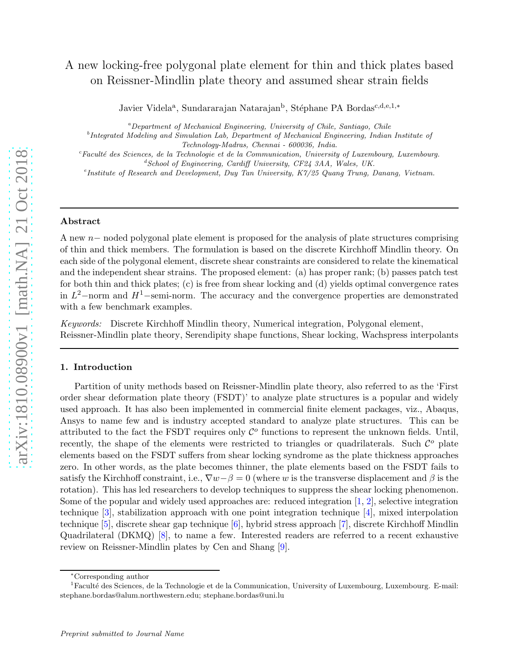# A new locking-free polygonal plate element for thin and thick plates based on Reissner-Mindlin plate theory and assumed shear strain fields

Javier Videla<sup>a</sup>, Sundararajan Natarajan<sup>b</sup>, Stéphane PA Bordas<sup>c,d,e,1,</sup>\*

<sup>a</sup>Department of Mechanical Engineering, University of Chile, Santiago, Chile

<sup>b</sup>Integrated Modeling and Simulation Lab, Department of Mechanical Engineering, Indian Institute of

Technology-Madras, Chennai - 600036, India.

 $c$ Faculté des Sciences, de la Technologie et de la Communication, University of Luxembourg, Luxembourg.  ${}^dS$ chool of Engineering, Cardiff University, CF24 3AA, Wales, UK.

e Institute of Research and Development, Duy Tan University, K7/25 Quang Trung, Danang, Vietnam.

## Abstract

A new n− noded polygonal plate element is proposed for the analysis of plate structures comprising of thin and thick members. The formulation is based on the discrete Kirchhoff Mindlin theory. On each side of the polygonal element, discrete shear constraints are considered to relate the kinematical and the independent shear strains. The proposed element: (a) has proper rank; (b) passes patch test for both thin and thick plates; (c) is free from shear locking and (d) yields optimal convergence rates in  $L^2$ –norm and  $H^1$ –semi-norm. The accuracy and the convergence properties are demonstrated with a few benchmark examples.

Keywords: Discrete Kirchhoff Mindlin theory, Numerical integration, Polygonal element, Reissner-Mindlin plate theory, Serendipity shape functions, Shear locking, Wachspress interpolants

## 1. Introduction

Partition of unity methods based on Reissner-Mindlin plate theory, also referred to as the 'First order shear deformation plate theory (FSDT)' to analyze plate structures is a popular and widely used approach. It has also been implemented in commercial finite element packages, viz., Abaqus, Ansys to name few and is industry accepted standard to analyze plate structures. This can be attributed to the fact the FSDT requires only  $\mathcal{C}^o$  functions to represent the unknown fields. Until, recently, the shape of the elements were restricted to triangles or quadrilaterals. Such  $\mathcal{C}^o$  plate elements based on the FSDT suffers from shear locking syndrome as the plate thickness approaches zero. In other words, as the plate becomes thinner, the plate elements based on the FSDT fails to satisfy the Kirchhoff constraint, i.e.,  $\nabla w-\beta=0$  (where w is the transverse displacement and  $\beta$  is the rotation). This has led researchers to develop techniques to suppress the shear locking phenomenon. Some of the popular and widely used approaches are: reduced integration [\[1,](#page-16-0) [2](#page-16-1)], selective integration technique [\[3\]](#page-16-2), stabilization approach with one point integration technique [\[4\]](#page-16-3), mixed interpolation technique [\[5\]](#page-16-4), discrete shear gap technique [\[6](#page-16-5)], hybrid stress approach [\[7](#page-16-6)], discrete Kirchhoff Mindlin Quadrilateral (DKMQ) [\[8](#page-16-7)], to name a few. Interested readers are referred to a recent exhaustive review on Reissner-Mindlin plates by Cen and Shang [\[9](#page-16-8)].

<sup>∗</sup>Corresponding author

<sup>&</sup>lt;sup>1</sup>Faculté des Sciences, de la Technologie et de la Communication, University of Luxembourg, Luxembourg. E-mail: stephane.bordas@alum.northwestern.edu; stephane.bordas@uni.lu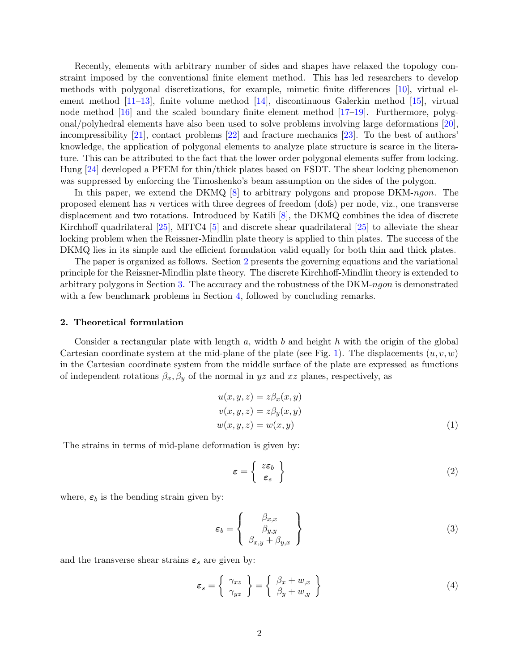Recently, elements with arbitrary number of sides and shapes have relaxed the topology constraint imposed by the conventional finite element method. This has led researchers to develop methods with polygonal discretizations, for example, mimetic finite differences [\[10](#page-16-9)], virtual element method [\[11](#page-16-10)[–13](#page-16-11)], finite volume method [\[14](#page-16-12)], discontinuous Galerkin method [\[15](#page-16-13)], virtual node method [\[16](#page-17-0)] and the scaled boundary finite element method [\[17](#page-17-1)[–19](#page-17-2)]. Furthermore, polygonal/polyhedral elements have also been used to solve problems involving large deformations [\[20](#page-17-3)], incompressibility [\[21](#page-17-4)], contact problems [\[22\]](#page-17-5) and fracture mechanics [\[23\]](#page-17-6). To the best of authors' knowledge, the application of polygonal elements to analyze plate structure is scarce in the literature. This can be attributed to the fact that the lower order polygonal elements suffer from locking. Hung [\[24\]](#page-17-7) developed a PFEM for thin/thick plates based on FSDT. The shear locking phenomenon was suppressed by enforcing the Timoshenko's beam assumption on the sides of the polygon.

In this paper, we extend the DKMQ [\[8](#page-16-7)] to arbitrary polygons and propose DKM-ngon. The proposed element has n vertices with three degrees of freedom (dofs) per node, viz., one transverse displacement and two rotations. Introduced by Katili [\[8](#page-16-7)], the DKMQ combines the idea of discrete Kirchhoff quadrilateral [\[25](#page-17-8)], MITC4 [\[5\]](#page-16-4) and discrete shear quadrilateral [\[25](#page-17-8)] to alleviate the shear locking problem when the Reissner-Mindlin plate theory is applied to thin plates. The success of the DKMQ lies in its simple and the efficient formulation valid equally for both thin and thick plates.

The paper is organized as follows. Section [2](#page-1-0) presents the governing equations and the variational principle for the Reissner-Mindlin plate theory. The discrete Kirchhoff-Mindlin theory is extended to arbitrary polygons in Section [3.](#page-2-0) The accuracy and the robustness of the DKM-ngon is demonstrated with a few benchmark problems in Section [4,](#page-6-0) followed by concluding remarks.

#### <span id="page-1-0"></span>2. Theoretical formulation

Consider a rectangular plate with length a, width b and height h with the origin of the global Cartesian coordinate system at the mid-plane of the plate (see Fig. [1\)](#page-2-1). The displacements  $(u, v, w)$ in the Cartesian coordinate system from the middle surface of the plate are expressed as functions of independent rotations  $\beta_x, \beta_y$  of the normal in yz and xz planes, respectively, as

$$
u(x, y, z) = z\beta_x(x, y)
$$
  
\n
$$
v(x, y, z) = z\beta_y(x, y)
$$
  
\n
$$
w(x, y, z) = w(x, y)
$$
\n(1)

The strains in terms of mid-plane deformation is given by:

$$
\varepsilon = \left\{ \begin{array}{c} z \varepsilon_b \\ \varepsilon_s \end{array} \right\} \tag{2}
$$

where,  $\varepsilon_b$  is the bending strain given by:

<span id="page-1-1"></span>
$$
\varepsilon_b = \begin{Bmatrix} \beta_{x,x} \\ \beta_{y,y} \\ \beta_{x,y} + \beta_{y,x} \end{Bmatrix}
$$
 (3)

and the transverse shear strains  $\varepsilon_s$  are given by:

$$
\varepsilon_s = \left\{ \begin{array}{c} \gamma_{xz} \\ \gamma_{yz} \end{array} \right\} = \left\{ \begin{array}{c} \beta_x + w_{,x} \\ \beta_y + w_{,y} \end{array} \right\} \tag{4}
$$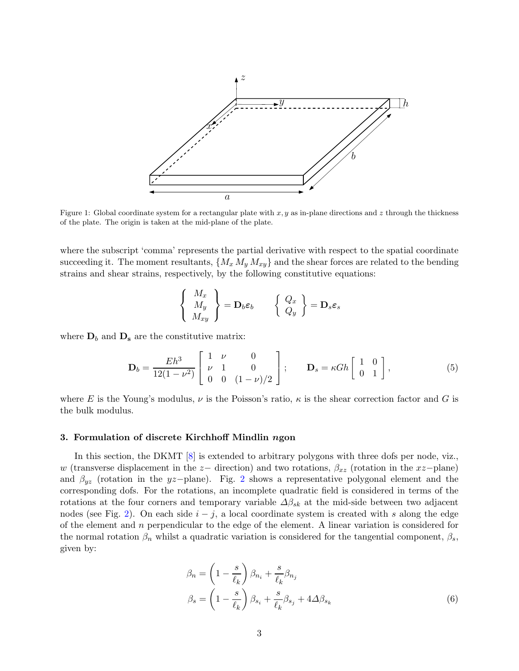<span id="page-2-1"></span>

Figure 1: Global coordinate system for a rectangular plate with  $x, y$  as in-plane directions and z through the thickness of the plate. The origin is taken at the mid-plane of the plate.

where the subscript 'comma' represents the partial derivative with respect to the spatial coordinate succeeding it. The moment resultants,  $\{M_x M_y M_{xy}\}$  and the shear forces are related to the bending strains and shear strains, respectively, by the following constitutive equations:

$$
\left\{\begin{array}{c} M_x \\ M_y \\ M_{xy} \end{array}\right\} = \mathbf{D}_b \varepsilon_b \qquad \left\{\begin{array}{c} Q_x \\ Q_y \end{array}\right\} = \mathbf{D}_s \varepsilon_s
$$

where  $D_b$  and  $D_s$  are the constitutive matrix:

$$
\mathbf{D}_{b} = \frac{Eh^{3}}{12(1 - \nu^{2})} \begin{bmatrix} 1 & \nu & 0 \\ \nu & 1 & 0 \\ 0 & 0 & (1 - \nu)/2 \end{bmatrix}; \quad \mathbf{D}_{s} = \kappa G h \begin{bmatrix} 1 & 0 \\ 0 & 1 \end{bmatrix},
$$
 (5)

where E is the Young's modulus,  $\nu$  is the Poisson's ratio,  $\kappa$  is the shear correction factor and G is the bulk modulus.

# <span id="page-2-0"></span>3. Formulation of discrete Kirchhoff Mindlin ngon

In this section, the DKMT  $[8]$  is extended to arbitrary polygons with three dofs per node, viz., w (transverse displacement in the  $z-$  direction) and two rotations,  $\beta_{xz}$  (rotation in the  $xz$ -plane) and  $\beta_{yz}$  (rotation in the yz-plane). Fig. [2](#page-3-0) shows a representative polygonal element and the corresponding dofs. For the rotations, an incomplete quadratic field is considered in terms of the rotations at the four corners and temporary variable  $\Delta \beta_{sk}$  at the mid-side between two adjacent nodes (see Fig. [2\)](#page-3-0). On each side  $i - j$ , a local coordinate system is created with s along the edge of the element and  $n$  perpendicular to the edge of the element. A linear variation is considered for the normal rotation  $\beta_n$  whilst a quadratic variation is considered for the tangential component,  $\beta_s$ , given by:

<span id="page-2-2"></span>
$$
\beta_n = \left(1 - \frac{s}{\ell_k}\right)\beta_{n_i} + \frac{s}{\ell_k}\beta_{n_j}
$$

$$
\beta_s = \left(1 - \frac{s}{\ell_k}\right)\beta_{s_i} + \frac{s}{\ell_k}\beta_{s_j} + 4\Delta\beta_{s_k}
$$
(6)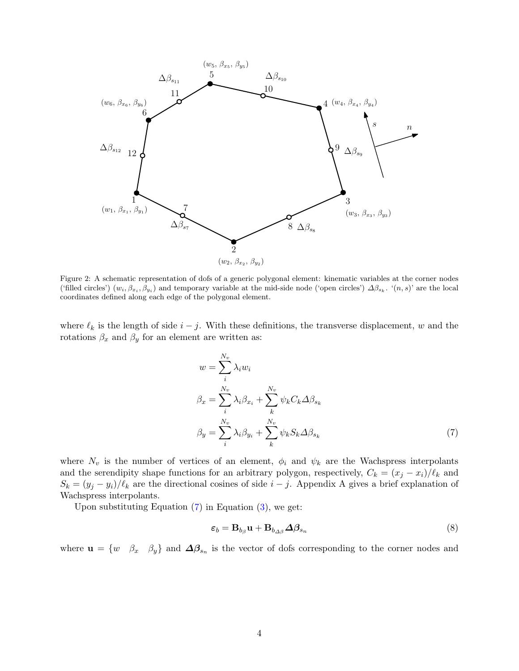<span id="page-3-0"></span>

Figure 2: A schematic representation of dofs of a generic polygonal element: kinematic variables at the corner nodes ('filled circles')  $(w_i, \beta_{x_i}, \beta_{y_i})$  and temporary variable at the mid-side node ('open circles')  $\Delta \beta_{s_k}$ . ' $(n, s)$ ' are the local coordinates defined along each edge of the polygonal element.

where  $\ell_k$  is the length of side  $i - j$ . With these definitions, the transverse displacement, w and the rotations  $\beta_x$  and  $\beta_y$  for an element are written as:

$$
w = \sum_{i}^{N_v} \lambda_i w_i
$$
  
\n
$$
\beta_x = \sum_{i}^{N_v} \lambda_i \beta_{x_i} + \sum_{k}^{N_v} \psi_k C_k \Delta \beta_{s_k}
$$
  
\n
$$
\beta_y = \sum_{i}^{N_v} \lambda_i \beta_{y_i} + \sum_{k}^{N_v} \psi_k S_k \Delta \beta_{s_k}
$$
\n(7)

where  $N_v$  is the number of vertices of an element,  $\phi_i$  and  $\psi_k$  are the Wachspress interpolants and the serendipity shape functions for an arbitrary polygon, respectively,  $C_k = (x_j - x_i)/\ell_k$  and  $S_k = (y_j - y_i)/\ell_k$  are the directional cosines of side  $i - j$ . Appendix A gives a brief explanation of Wachspress interpolants.

Upon substituting Equation  $(7)$  in Equation  $(3)$ , we get:

<span id="page-3-2"></span><span id="page-3-1"></span>
$$
\varepsilon_b = \mathbf{B}_{b_\beta} \mathbf{u} + \mathbf{B}_{b_{\Delta\beta}} \Delta \beta_{s_n} \tag{8}
$$

where  $\mathbf{u} = \{w \mid \beta_x \mid \beta_y\}$  and  $\Delta\beta_{s_n}$  is the vector of dofs corresponding to the corner nodes and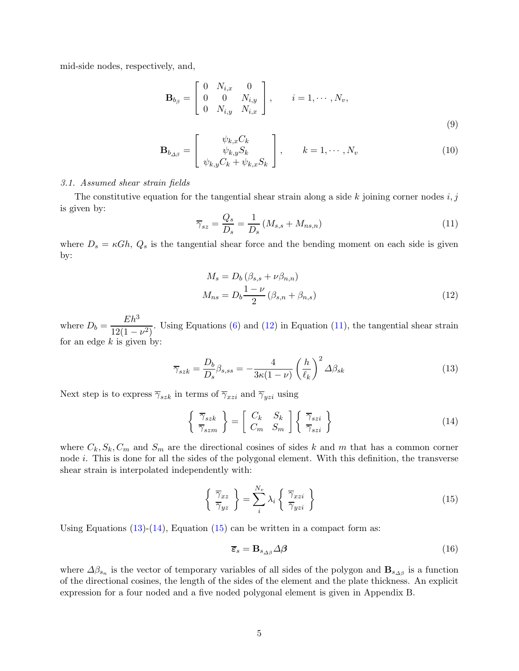mid-side nodes, respectively, and,

$$
\mathbf{B}_{b_{\beta}} = \begin{bmatrix} 0 & N_{i,x} & 0 \\ 0 & 0 & N_{i,y} \\ 0 & N_{i,y} & N_{i,x} \end{bmatrix}, \qquad i = 1, \cdots, N_v,
$$
\n(9)

$$
\mathbf{B}_{b_{\Delta\beta}} = \begin{bmatrix} \psi_{k,x} C_k \\ \psi_{k,y} S_k \\ \psi_{k,y} C_k + \psi_{k,x} S_k \end{bmatrix}, \qquad k = 1, \cdots, N_v \tag{10}
$$

### 3.1. Assumed shear strain fields

The constitutive equation for the tangential shear strain along a side  $k$  joining corner nodes  $i, j$ is given by:

<span id="page-4-1"></span>
$$
\overline{\gamma}_{sz} = \frac{Q_s}{D_s} = \frac{1}{D_s} \left( M_{s,s} + M_{ns,n} \right) \tag{11}
$$

where  $D_s = \kappa G h$ ,  $Q_s$  is the tangential shear force and the bending moment on each side is given by:

<span id="page-4-0"></span>
$$
M_s = D_b (\beta_{s,s} + \nu \beta_{n,n})
$$
  

$$
M_{ns} = D_b \frac{1 - \nu}{2} (\beta_{s,n} + \beta_{n,s})
$$
 (12)

where  $D_b =$  $Eh^3$  $\frac{2\pi}{12(1-\nu^2)}$ . Using Equations [\(6\)](#page-2-2) and [\(12\)](#page-4-0) in Equation [\(11\)](#page-4-1), the tangential shear strain for an edge  $k$  is given by:

<span id="page-4-2"></span>
$$
\overline{\gamma}_{szk} = \frac{D_b}{D_s} \beta_{s,ss} = -\frac{4}{3\kappa(1-\nu)} \left(\frac{h}{\ell_k}\right)^2 \Delta \beta_{sk} \tag{13}
$$

Next step is to express  $\overline{\gamma}_{szk}$  in terms of  $\overline{\gamma}_{xzi}$  and  $\overline{\gamma}_{yzi}$  using

<span id="page-4-3"></span>
$$
\left\{\begin{array}{c}\overline{\gamma}_{szk} \\ \overline{\gamma}_{szm}\end{array}\right\} = \left\{\begin{array}{cc} C_k & S_k \\ C_m & S_m \end{array}\right\} \left\{\begin{array}{c}\overline{\gamma}_{szi} \\ \overline{\gamma}_{szi}\end{array}\right\} \tag{14}
$$

where  $C_k$ ,  $S_k$ ,  $C_m$  and  $S_m$  are the directional cosines of sides k and m that has a common corner node i. This is done for all the sides of the polygonal element. With this definition, the transverse shear strain is interpolated independently with:

<span id="page-4-4"></span>
$$
\left\{\begin{array}{c}\overline{\gamma}_{xz}\\\overline{\gamma}_{yz}\end{array}\right\} = \sum_{i}^{N_v} \lambda_i \left\{\begin{array}{c}\overline{\gamma}_{xzi}\\\overline{\gamma}_{yzi}\end{array}\right\} \tag{15}
$$

Using Equations  $(13)-(14)$  $(13)-(14)$ , Equation  $(15)$  can be written in a compact form as:

<span id="page-4-5"></span>
$$
\overline{\varepsilon}_s = \mathbf{B}_{s_{\Delta\beta}} \Delta\beta \tag{16}
$$

where  $\Delta\beta_{s_n}$  is the vector of temporary variables of all sides of the polygon and  $\mathbf{B}_{s_{\Delta\beta}}$  is a function of the directional cosines, the length of the sides of the element and the plate thickness. An explicit expression for a four noded and a five noded polygonal element is given in Appendix B.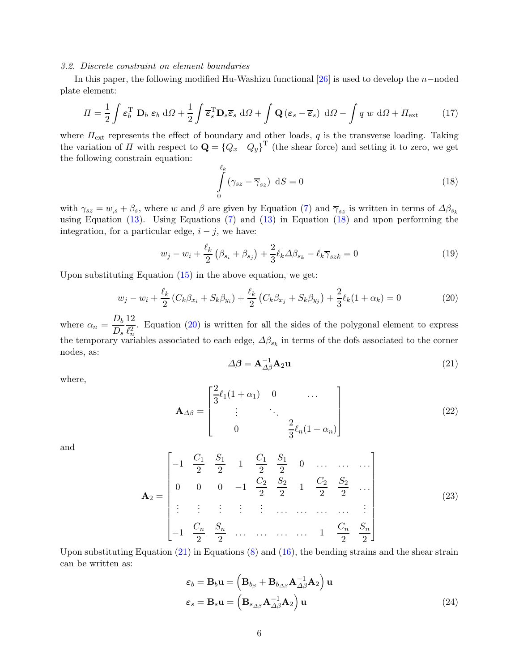#### 3.2. Discrete constraint on element boundaries

In this paper, the following modified Hu-Washizu functional [\[26](#page-17-9)] is used to develop the n−noded plate element:

$$
\Pi = \frac{1}{2} \int \boldsymbol{\varepsilon}_{b}^{\mathrm{T}} \mathbf{D}_{b} \boldsymbol{\varepsilon}_{b} \, d\Omega + \frac{1}{2} \int \overline{\boldsymbol{\varepsilon}}_{s}^{\mathrm{T}} \mathbf{D}_{s} \overline{\boldsymbol{\varepsilon}}_{s} \, d\Omega + \int \mathbf{Q} \left( \boldsymbol{\varepsilon}_{s} - \overline{\boldsymbol{\varepsilon}}_{s} \right) \, d\Omega - \int q \, w \, d\Omega + H_{\mathrm{ext}} \tag{17}
$$

where  $\Pi_{\text{ext}}$  represents the effect of boundary and other loads, q is the transverse loading. Taking the variation of  $\Pi$  with respect to  $\mathbf{Q} = \begin{bmatrix} Q_x & Q_y \end{bmatrix}^T$  (the shear force) and setting it to zero, we get the following constrain equation:

<span id="page-5-0"></span>
$$
\int_{0}^{\ell_k} (\gamma_{sz} - \overline{\gamma}_{sz}) \, \, \mathrm{d}S = 0 \tag{18}
$$

with  $\gamma_{sz} = w_{,s} + \beta_s$ , where w and  $\beta$  are given by Equation [\(7\)](#page-3-1) and  $\overline{\gamma}_{sz}$  is written in terms of  $\Delta\beta_{s_k}$ using Equation [\(13\)](#page-4-2). Using Equations [\(7\)](#page-3-1) and [\(13\)](#page-4-2) in Equation [\(18\)](#page-5-0) and upon performing the integration, for a particular edge,  $i - j$ , we have:

$$
w_j - w_i + \frac{\ell_k}{2} \left(\beta_{s_i} + \beta_{s_j}\right) + \frac{2}{3} \ell_k \Delta \beta_{s_k} - \ell_k \overline{\gamma}_{szk} = 0 \tag{19}
$$

Upon substituting Equation  $(15)$  in the above equation, we get:

<span id="page-5-1"></span>
$$
w_j - w_i + \frac{\ell_k}{2} \left( C_k \beta_{x_i} + S_k \beta_{y_i} \right) + \frac{\ell_k}{2} \left( C_k \beta_{x_j} + S_k \beta_{y_j} \right) + \frac{2}{3} \ell_k (1 + \alpha_k) = 0 \tag{20}
$$

where  $\alpha_n = \frac{D_b}{D}$  $D_s$ 12  $\ell^2_n$ . Equation [\(20\)](#page-5-1) is written for all the sides of the polygonal element to express the temporary variables associated to each edge,  $\Delta\beta_{s_k}$  in terms of the dofs associated to the corner nodes, as:

<span id="page-5-2"></span>
$$
\Delta \beta = \mathbf{A}_{\Delta \beta}^{-1} \mathbf{A}_2 \mathbf{u} \tag{21}
$$

where,

$$
\mathbf{A}_{\Delta\beta} = \begin{bmatrix} \frac{2}{3}\ell_1(1+\alpha_1) & 0 & \cdots \\ \vdots & \ddots & \vdots \\ 0 & \frac{2}{3}\ell_n(1+\alpha_n) \end{bmatrix}
$$
(22)

and

$$
\mathbf{A}_2 = \begin{bmatrix} -1 & \frac{C_1}{2} & \frac{S_1}{2} & 1 & \frac{C_1}{2} & \frac{S_1}{2} & 0 & \dots & \dots & \dots \\ 0 & 0 & 0 & -1 & \frac{C_2}{2} & \frac{S_2}{2} & 1 & \frac{C_2}{2} & \frac{S_2}{2} & \dots \\ \vdots & \vdots & \vdots & \vdots & \dots & \dots & \dots & \vdots \\ -1 & \frac{C_n}{2} & \frac{S_n}{2} & \dots & \dots & \dots & 1 & \frac{C_n}{2} & \frac{S_n}{2} \end{bmatrix}
$$
(23)

Upon substituting Equation  $(21)$  in Equations  $(8)$  and  $(16)$ , the bending strains and the shear strain can be written as:

$$
\varepsilon_b = \mathbf{B}_b \mathbf{u} = \left( \mathbf{B}_{b_\beta} + \mathbf{B}_{b_{\Delta\beta}} \mathbf{A}_{\Delta\beta}^{-1} \mathbf{A}_2 \right) \mathbf{u}
$$
  

$$
\varepsilon_s = \mathbf{B}_s \mathbf{u} = \left( \mathbf{B}_{s_{\Delta\beta}} \mathbf{A}_{\Delta\beta}^{-1} \mathbf{A}_2 \right) \mathbf{u}
$$
 (24)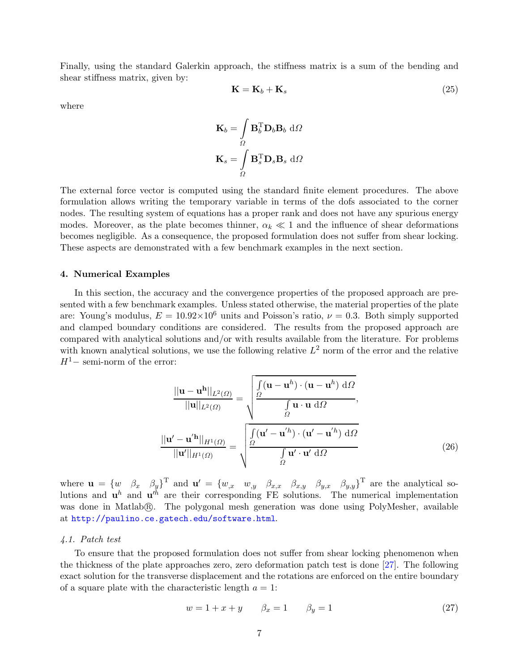Finally, using the standard Galerkin approach, the stiffness matrix is a sum of the bending and shear stiffness matrix, given by:

$$
\mathbf{K} = \mathbf{K}_b + \mathbf{K}_s \tag{25}
$$

where

$$
\mathbf{K}_b = \int_{\Omega} \mathbf{B}_b^{\mathrm{T}} \mathbf{D}_b \mathbf{B}_b \, d\Omega
$$

$$
\mathbf{K}_s = \int_{\Omega} \mathbf{B}_s^{\mathrm{T}} \mathbf{D}_s \mathbf{B}_s \, d\Omega
$$

The external force vector is computed using the standard finite element procedures. The above formulation allows writing the temporary variable in terms of the dofs associated to the corner nodes. The resulting system of equations has a proper rank and does not have any spurious energy modes. Moreover, as the plate becomes thinner,  $\alpha_k \ll 1$  and the influence of shear deformations becomes negligible. As a consequence, the proposed formulation does not suffer from shear locking. These aspects are demonstrated with a few benchmark examples in the next section.

## <span id="page-6-0"></span>4. Numerical Examples

In this section, the accuracy and the convergence properties of the proposed approach are presented with a few benchmark examples. Unless stated otherwise, the material properties of the plate are: Young's modulus,  $E = 10.92 \times 10^6$  units and Poisson's ratio,  $\nu = 0.3$ . Both simply supported and clamped boundary conditions are considered. The results from the proposed approach are compared with analytical solutions and/or with results available from the literature. For problems with known analytical solutions, we use the following relative  $L^2$  norm of the error and the relative  $H<sup>1</sup>$  – semi-norm of the error:

$$
\frac{\|\mathbf{u} - \mathbf{u}^h\|_{L^2(\Omega)}}{\|\mathbf{u}\|_{L^2(\Omega)}} = \sqrt{\frac{\frac{\int ((\mathbf{u} - \mathbf{u}^h) \cdot (\mathbf{u} - \mathbf{u}^h) \, d\Omega}{\Omega}}{\int \mathbf{u} \cdot \mathbf{u} \, d\Omega}},
$$
\n
$$
\frac{\|\mathbf{u}' - \mathbf{u}'^h\|_{H^1(\Omega)}}{\|\mathbf{u}'\|_{H^1(\Omega)}} = \sqrt{\frac{\frac{\int ((\mathbf{u}' - \mathbf{u}'^h) \cdot (\mathbf{u}' - \mathbf{u}'^h) \, d\Omega}{\Omega}}{\int \mathbf{u}' \cdot \mathbf{u}' \, d\Omega}} \tag{26}
$$

where  $\mathbf{u} = \{w \mid \beta_x \mid \beta_y\}^{\mathrm{T}}$  and  $\mathbf{u}' = \{w_{,x} \mid w_{,y} \mid \beta_{x,x} \mid \beta_{x,y} \mid \beta_{y,x} \mid \beta_{y,y}\}^{\mathrm{T}}$  are the analytical solutions and  $\mathbf{u}^h$  and  $\mathbf{u}^{h'}$  are their corresponding FE solutions. The numerical implementation was done in Matlab $\circledR$ . The polygonal mesh generation was done using PolyMesher, available at <http://paulino.ce.gatech.edu/software.html>.

# 4.1. Patch test

To ensure that the proposed formulation does not suffer from shear locking phenomenon when the thickness of the plate approaches zero, zero deformation patch test is done [\[27\]](#page-17-10). The following exact solution for the transverse displacement and the rotations are enforced on the entire boundary of a square plate with the characteristic length  $a = 1$ :

$$
w = 1 + x + y \qquad \beta_x = 1 \qquad \beta_y = 1 \tag{27}
$$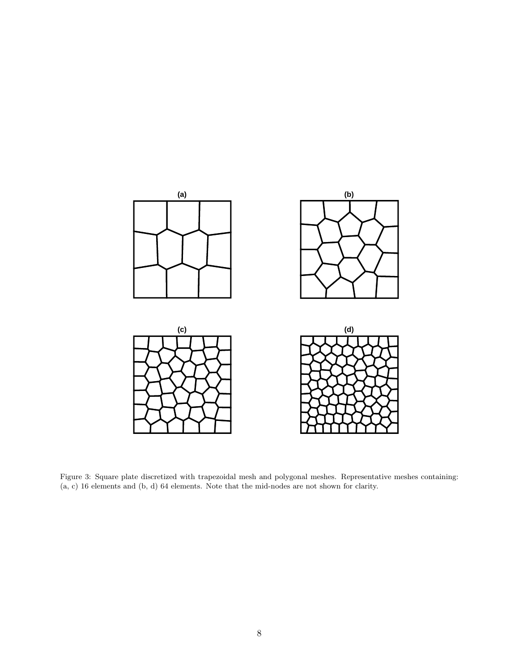<span id="page-7-0"></span>

Figure 3: Square plate discretized with trapezoidal mesh and polygonal meshes. Representative meshes containing: (a, c) 16 elements and (b, d) 64 elements. Note that the mid-nodes are not shown for clarity.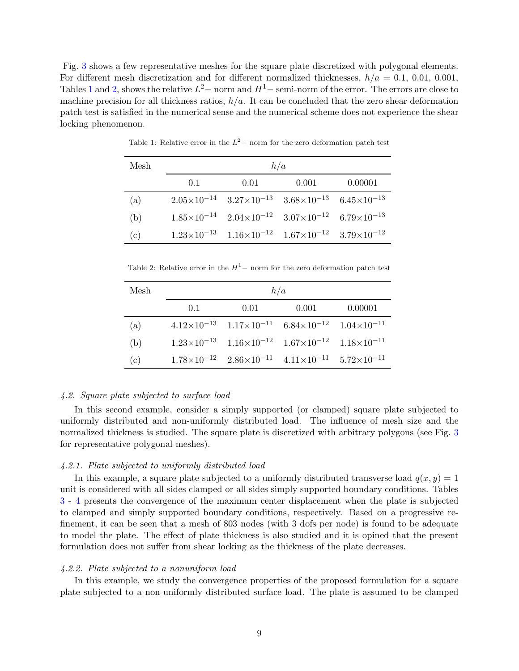<span id="page-8-0"></span>Fig. [3](#page-7-0) shows a few representative meshes for the square plate discretized with polygonal elements. For different mesh discretization and for different normalized thicknesses,  $h/a = 0.1, 0.01, 0.001$ , Tables [1](#page-8-0) and [2,](#page-8-1) shows the relative  $L^2-$  norm and  $H^1-$  semi-norm of the error. The errors are close to machine precision for all thickness ratios,  $h/a$ . It can be concluded that the zero shear deformation patch test is satisfied in the numerical sense and the numerical scheme does not experience the shear locking phenomenon.

| Mesh | h/a |                                                                                             |       |         |  |  |
|------|-----|---------------------------------------------------------------------------------------------|-------|---------|--|--|
|      | 0.1 | 0.01                                                                                        | 0.001 | 0.00001 |  |  |
| (a)  |     | $2.05 \times 10^{-14}$ $3.27 \times 10^{-13}$ $3.68 \times 10^{-13}$ $6.45 \times 10^{-13}$ |       |         |  |  |
| (b)  |     | $1.85 \times 10^{-14}$ $2.04 \times 10^{-12}$ $3.07 \times 10^{-12}$ $6.79 \times 10^{-13}$ |       |         |  |  |
| (c)  |     | $1.23\times10^{-13}$ $1.16\times10^{-12}$ $1.67\times10^{-12}$ $3.79\times10^{-12}$         |       |         |  |  |

Table 1: Relative error in the  $L^2-$  norm for the zero deformation patch test

<span id="page-8-1"></span>Table 2: Relative error in the  $H^1-$  norm for the zero deformation patch test

| Mesh | h/a |      |                                                                                             |         |  |
|------|-----|------|---------------------------------------------------------------------------------------------|---------|--|
|      | 0.1 | 0.01 | 0.001                                                                                       | 0.00001 |  |
| (a)  |     |      | $4.12\times10^{-13}$ $1.17\times10^{-11}$ $6.84\times10^{-12}$ $1.04\times10^{-11}$         |         |  |
| (b)  |     |      | $1.23\times10^{-13}$ $1.16\times10^{-12}$ $1.67\times10^{-12}$ $1.18\times10^{-11}$         |         |  |
| (c)  |     |      | $1.78 \times 10^{-12}$ $2.86 \times 10^{-11}$ $4.11 \times 10^{-11}$ $5.72 \times 10^{-11}$ |         |  |

## 4.2. Square plate subjected to surface load

In this second example, consider a simply supported (or clamped) square plate subjected to uniformly distributed and non-uniformly distributed load. The influence of mesh size and the normalized thickness is studied. The square plate is discretized with arbitrary polygons (see Fig. [3](#page-7-0)) for representative polygonal meshes).

# 4.2.1. Plate subjected to uniformly distributed load

In this example, a square plate subjected to a uniformly distributed transverse load  $q(x, y) = 1$ unit is considered with all sides clamped or all sides simply supported boundary conditions. Tables [3](#page-9-0) - [4](#page-9-1) presents the convergence of the maximum center displacement when the plate is subjected to clamped and simply supported boundary conditions, respectively. Based on a progressive refinement, it can be seen that a mesh of 803 nodes (with 3 dofs per node) is found to be adequate to model the plate. The effect of plate thickness is also studied and it is opined that the present formulation does not suffer from shear locking as the thickness of the plate decreases.

# 4.2.2. Plate subjected to a nonuniform load

In this example, we study the convergence properties of the proposed formulation for a square plate subjected to a non-uniformly distributed surface load. The plate is assumed to be clamped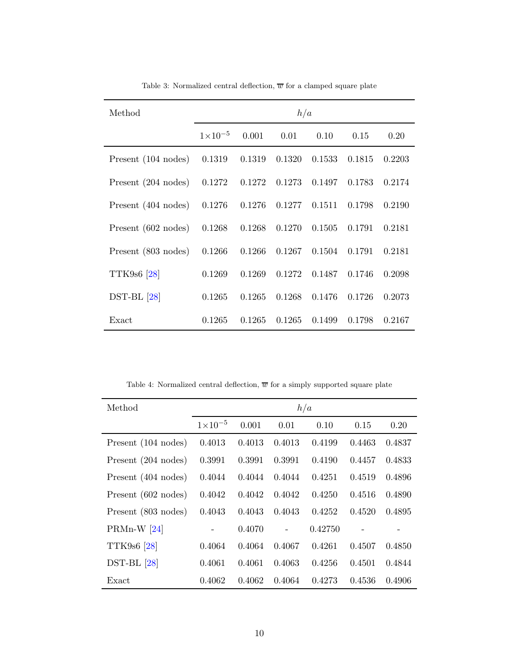<span id="page-9-0"></span>

| Method              | h/a                |        |        |        |        |        |
|---------------------|--------------------|--------|--------|--------|--------|--------|
|                     | $1 \times 10^{-5}$ | 0.001  | 0.01   | 0.10   | 0.15   | 0.20   |
| Present (104 nodes) | 0.1319             | 0.1319 | 0.1320 | 0.1533 | 0.1815 | 0.2203 |
| Present (204 nodes) | 0.1272             | 0.1272 | 0.1273 | 0.1497 | 0.1783 | 0.2174 |
| Present (404 nodes) | 0.1276             | 0.1276 | 0.1277 | 0.1511 | 0.1798 | 0.2190 |
| Present (602 nodes) | 0.1268             | 0.1268 | 0.1270 | 0.1505 | 0.1791 | 0.2181 |
| Present (803 nodes) | 0.1266             | 0.1266 | 0.1267 | 0.1504 | 0.1791 | 0.2181 |
| TTK9s6 [28]         | 0.1269             | 0.1269 | 0.1272 | 0.1487 | 0.1746 | 0.2098 |
| $DST-BL [28]$       | 0.1265             | 0.1265 | 0.1268 | 0.1476 | 0.1726 | 0.2073 |
| Exact               | 0.1265             | 0.1265 | 0.1265 | 0.1499 | 0.1798 | 0.2167 |

Table 3: Normalized central deflection,  $\overline{w}$  for a clamped square plate

Table 4: Normalized central deflection,  $\overline{w}$  for a simply supported square plate

<span id="page-9-1"></span>

| Method                        | h/a                |        |                |         |        |        |
|-------------------------------|--------------------|--------|----------------|---------|--------|--------|
|                               | $1 \times 10^{-5}$ | 0.001  | 0.01           | 0.10    | 0.15   | 0.20   |
| Present (104 nodes)           | 0.4013             | 0.4013 | 0.4013         | 0.4199  | 0.4463 | 0.4837 |
| Present $(204 \text{ nodes})$ | 0.3991             | 0.3991 | 0.3991         | 0.4190  | 0.4457 | 0.4833 |
| Present (404 nodes)           | 0.4044             | 0.4044 | 0.4044         | 0.4251  | 0.4519 | 0.4896 |
| Present (602 nodes)           | 0.4042             | 0.4042 | 0.4042         | 0.4250  | 0.4516 | 0.4890 |
| Present (803 nodes)           | 0.4043             | 0.4043 | 0.4043         | 0.4252  | 0.4520 | 0.4895 |
| PRMn-W $[24]$                 |                    | 0.4070 | $\overline{a}$ | 0.42750 |        |        |
| TTK9s6 [28]                   | 0.4064             | 0.4064 | 0.4067         | 0.4261  | 0.4507 | 0.4850 |
| $DST-BL [28]$                 | 0.4061             | 0.4061 | 0.4063         | 0.4256  | 0.4501 | 0.4844 |
| Exact                         | 0.4062             | 0.4062 | 0.4064         | 0.4273  | 0.4536 | 0.4906 |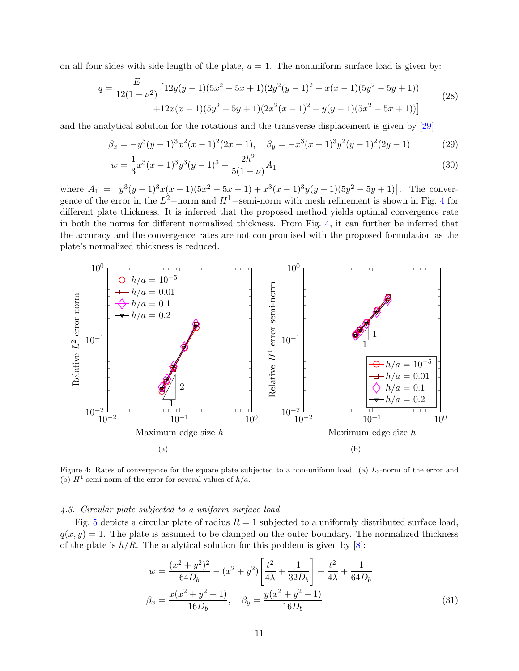on all four sides with side length of the plate,  $a = 1$ . The nonuniform surface load is given by:

$$
q = \frac{E}{12(1 - \nu^2)} \left[ 12y(y - 1)(5x^2 - 5x + 1)(2y^2(y - 1)^2 + x(x - 1)(5y^2 - 5y + 1)) + 12x(x - 1)(5y^2 - 5y + 1)(2x^2(x - 1)^2 + y(y - 1)(5x^2 - 5x + 1)) \right]
$$
\n(28)

and the analytical solution for the rotations and the transverse displacement is given by [\[29](#page-17-12)]

$$
\beta_x = -y^3(y-1)^3x^2(x-1)^2(2x-1), \quad \beta_y = -x^3(x-1)^3y^2(y-1)^2(2y-1) \tag{29}
$$

$$
w = \frac{1}{3}x^3(x-1)^3y^3(y-1)^3 - \frac{2h^2}{5(1-\nu)}A_1\tag{30}
$$

where  $A_1 = [y^3(y-1)^3x(x-1)(5x^2-5x+1)+x^3(x-1)^3y(y-1)(5y^2-5y+1)].$  The convergence of the error in the  $L^2$ -norm and  $H^1$ -semi-norm with mesh refinement is shown in Fig. [4](#page-10-0) for different plate thickness. It is inferred that the proposed method yields optimal convergence rate in both the norms for different normalized thickness. From Fig. [4,](#page-10-0) it can further be inferred that the accuracy and the convergence rates are not compromised with the proposed formulation as the plate's normalized thickness is reduced.

<span id="page-10-0"></span>

Figure 4: Rates of convergence for the square plate subjected to a non-uniform load: (a)  $L_2$ -norm of the error and (b)  $H^1$ -semi-norm of the error for several values of  $h/a$ .

#### 4.3. Circular plate subjected to a uniform surface load

Fig. [5](#page-11-0) depicts a circular plate of radius  $R = 1$  subjected to a uniformly distributed surface load,  $q(x, y) = 1$ . The plate is assumed to be clamped on the outer boundary. The normalized thickness of the plate is  $h/R$ . The analytical solution for this problem is given by  $[8]$ :

$$
w = \frac{(x^2 + y^2)^2}{64D_b} - (x^2 + y^2) \left[ \frac{t^2}{4\lambda} + \frac{1}{32D_b} \right] + \frac{t^2}{4\lambda} + \frac{1}{64D_b}
$$
  

$$
\beta_x = \frac{x(x^2 + y^2 - 1)}{16D_b}, \quad \beta_y = \frac{y(x^2 + y^2 - 1)}{16D_b}
$$
(31)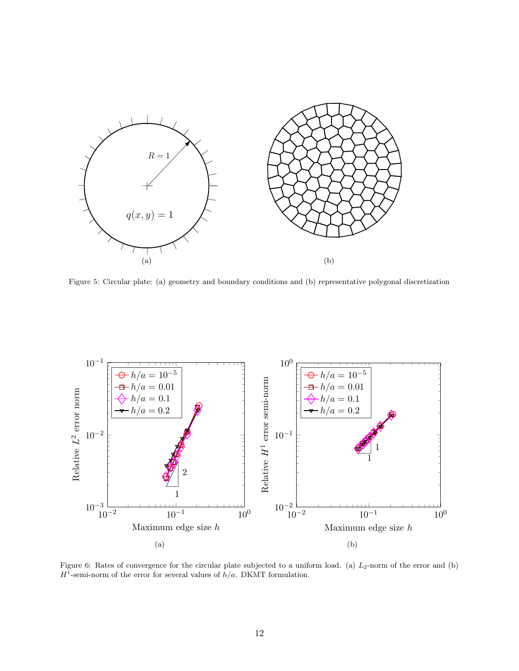<span id="page-11-0"></span>

Figure 5: Circular plate: (a) geometry and boundary conditions and (b) representative polygonal discretization

<span id="page-11-1"></span>

Figure 6: Rates of convergence for the circular plate subjected to a uniform load. (a)  $L_2$ -norm of the error and (b)  $H^{\overline{1}}$ -semi-norm of the error for several values of  $\hat{h}/a$ . DKMT formulation.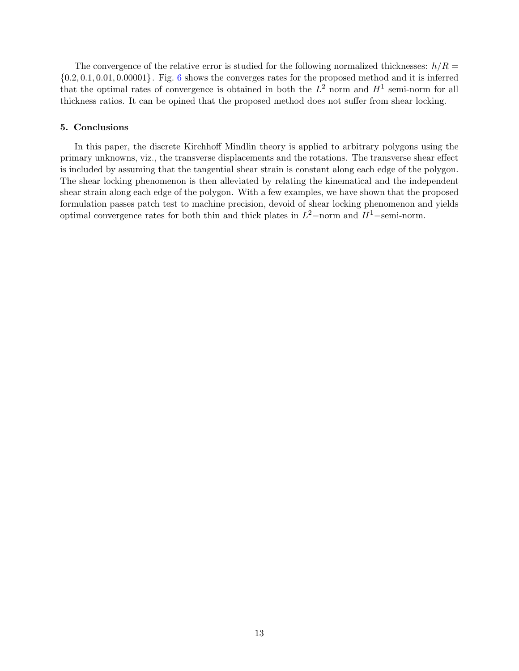The convergence of the relative error is studied for the following normalized thicknesses:  $h/R =$  ${0.2, 0.1, 0.01, 0.00001}$ . Fig. [6](#page-11-1) shows the converges rates for the proposed method and it is inferred that the optimal rates of convergence is obtained in both the  $L^2$  norm and  $H^1$  semi-norm for all thickness ratios. It can be opined that the proposed method does not suffer from shear locking.

# 5. Conclusions

In this paper, the discrete Kirchhoff Mindlin theory is applied to arbitrary polygons using the primary unknowns, viz., the transverse displacements and the rotations. The transverse shear effect is included by assuming that the tangential shear strain is constant along each edge of the polygon. The shear locking phenomenon is then alleviated by relating the kinematical and the independent shear strain along each edge of the polygon. With a few examples, we have shown that the proposed formulation passes patch test to machine precision, devoid of shear locking phenomenon and yields optimal convergence rates for both thin and thick plates in  $L^2$ -norm and  $H^1$ -semi-norm.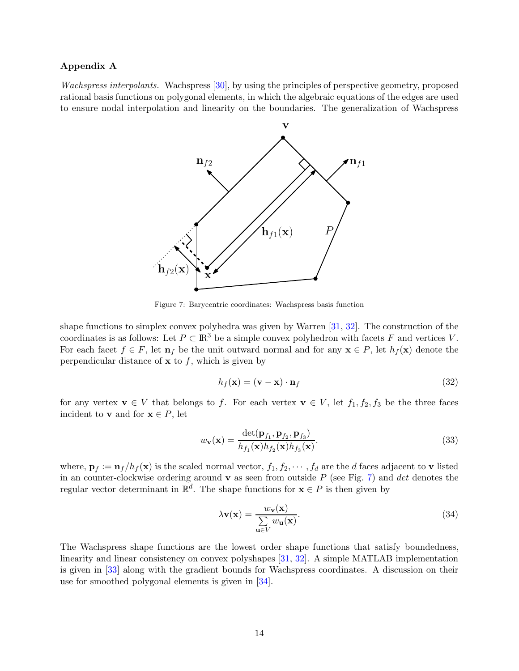## Appendix A

<span id="page-13-0"></span>Wachspress interpolants. Wachspress [\[30](#page-17-13)], by using the principles of perspective geometry, proposed rational basis functions on polygonal elements, in which the algebraic equations of the edges are used to ensure nodal interpolation and linearity on the boundaries. The generalization of Wachspress



Figure 7: Barycentric coordinates: Wachspress basis function

shape functions to simplex convex polyhedra was given by Warren [\[31,](#page-18-0) [32](#page-18-1)]. The construction of the coordinates is as follows: Let  $P \subset \mathbb{R}^3$  be a simple convex polyhedron with facets F and vertices V. For each facet  $f \in F$ , let  $\mathbf{n}_f$  be the unit outward normal and for any  $\mathbf{x} \in P$ , let  $h_f(\mathbf{x})$  denote the perpendicular distance of  $x$  to  $f$ , which is given by

$$
h_f(\mathbf{x}) = (\mathbf{v} - \mathbf{x}) \cdot \mathbf{n}_f \tag{32}
$$

for any vertex  $\mathbf{v} \in V$  that belongs to f. For each vertex  $\mathbf{v} \in V$ , let  $f_1, f_2, f_3$  be the three faces incident to **v** and for  $x \in P$ , let

$$
w_{\mathbf{v}}(\mathbf{x}) = \frac{\det(\mathbf{p}_{f_1}, \mathbf{p}_{f_2}, \mathbf{p}_{f_3})}{h_{f_1}(\mathbf{x})h_{f_2}(\mathbf{x})h_{f_3}(\mathbf{x})}.
$$
\n(33)

where,  $\mathbf{p}_f := \mathbf{n}_f/h_f(\mathbf{x})$  is the scaled normal vector,  $f_1, f_2, \cdots, f_d$  are the d faces adjacent to **v** listed in an counter-clockwise ordering around  $\bf{v}$  as seen from outside  $P$  (see Fig. [7\)](#page-13-0) and det denotes the regular vector determinant in  $\mathbb{R}^d$ . The shape functions for  $\mathbf{x} \in P$  is then given by

$$
\lambda \mathbf{v}(\mathbf{x}) = \frac{w_{\mathbf{v}}(\mathbf{x})}{\sum_{\mathbf{u} \in V} w_{\mathbf{u}}(\mathbf{x})}.
$$
\n(34)

The Wachspress shape functions are the lowest order shape functions that satisfy boundedness, linearity and linear consistency on convex polyshapes [\[31,](#page-18-0) [32](#page-18-1)]. A simple MATLAB implementation is given in [\[33](#page-18-2)] along with the gradient bounds for Wachspress coordinates. A discussion on their use for smoothed polygonal elements is given in [\[34](#page-18-3)].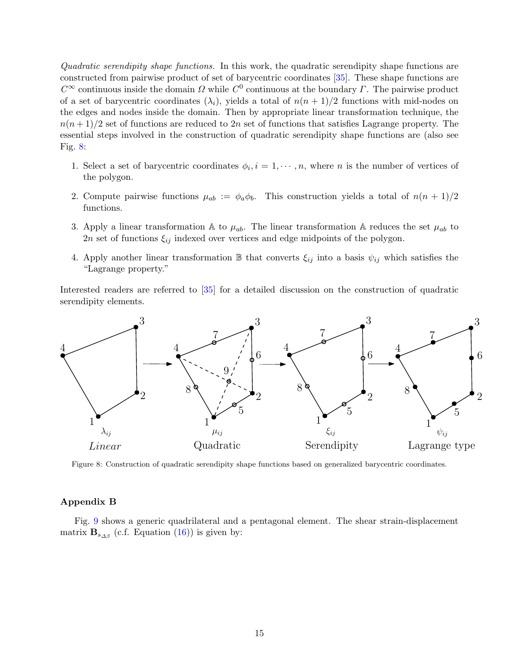Quadratic serendipity shape functions. In this work, the quadratic serendipity shape functions are constructed from pairwise product of set of barycentric coordinates [\[35](#page-18-4)]. These shape functions are  $C^{\infty}$  continuous inside the domain  $\Omega$  while  $C^0$  continuous at the boundary  $\Gamma$ . The pairwise product of a set of barycentric coordinates  $(\lambda_i)$ , yields a total of  $n(n+1)/2$  functions with mid-nodes on the edges and nodes inside the domain. Then by appropriate linear transformation technique, the  $n(n+1)/2$  set of functions are reduced to 2n set of functions that satisfies Lagrange property. The essential steps involved in the construction of quadratic serendipity shape functions are (also see Fig.  $8$ :

- 1. Select a set of barycentric coordinates  $\phi_i, i = 1, \dots, n$ , where n is the number of vertices of the polygon.
- 2. Compute pairwise functions  $\mu_{ab} := \phi_a \phi_b$ . This construction yields a total of  $n(n+1)/2$ functions.
- 3. Apply a linear transformation A to  $\mu_{ab}$ . The linear transformation A reduces the set  $\mu_{ab}$  to 2n set of functions  $\xi_{ij}$  indexed over vertices and edge midpoints of the polygon.
- 4. Apply another linear transformation  $\mathbb B$  that converts  $\xi_{ij}$  into a basis  $\psi_{ij}$  which satisfies the "Lagrange property."

Interested readers are referred to [\[35](#page-18-4)] for a detailed discussion on the construction of quadratic serendipity elements.

<span id="page-14-0"></span>

Figure 8: Construction of quadratic serendipity shape functions based on generalized barycentric coordinates.

## Appendix B

Fig. [9](#page-15-0) shows a generic quadrilateral and a pentagonal element. The shear strain-displacement matrix  $\mathbf{B}_{s_{\Delta\beta}}$  (c.f. Equation [\(16\)](#page-4-5)) is given by: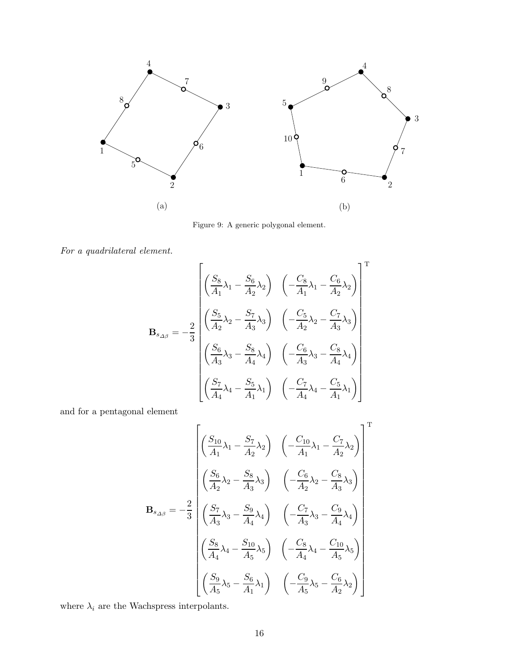<span id="page-15-0"></span>

Figure 9: A generic polygonal element.

For a quadrilateral element.

$$
\mathbf{B}_{s_{\Delta\beta}} = -\frac{2}{3} \begin{bmatrix} \left(\frac{S_8}{A_1}\lambda_1 - \frac{S_6}{A_2}\lambda_2\right) & \left(-\frac{C_8}{A_1}\lambda_1 - \frac{C_6}{A_2}\lambda_2\right) \\ \left(\frac{S_5}{A_2}\lambda_2 - \frac{S_7}{A_3}\lambda_3\right) & \left(-\frac{C_5}{A_2}\lambda_2 - \frac{C_7}{A_3}\lambda_3\right) \\ \left(\frac{S_6}{A_3}\lambda_3 - \frac{S_8}{A_4}\lambda_4\right) & \left(-\frac{C_6}{A_3}\lambda_3 - \frac{C_8}{A_4}\lambda_4\right) \\ \left(\frac{S_7}{A_4}\lambda_4 - \frac{S_5}{A_1}\lambda_1\right) & \left(-\frac{C_7}{A_4}\lambda_4 - \frac{C_5}{A_1}\lambda_1\right) \end{bmatrix}
$$

and for a pentagonal element

$$
\mathbf{B}_{s_{\Delta\beta}} = -\frac{2}{3} \begin{bmatrix} \left(\frac{S_{10}}{A_1}\lambda_1 - \frac{S_7}{A_2}\lambda_2\right) & \left(-\frac{C_{10}}{A_1}\lambda_1 - \frac{C_7}{A_2}\lambda_2\right) \\ \left(\frac{S_6}{A_2}\lambda_2 - \frac{S_8}{A_3}\lambda_3\right) & \left(-\frac{C_6}{A_2}\lambda_2 - \frac{C_8}{A_3}\lambda_3\right) \\ \left(\frac{S_7}{A_3}\lambda_3 - \frac{S_9}{A_4}\lambda_4\right) & \left(-\frac{C_7}{A_3}\lambda_3 - \frac{C_9}{A_4}\lambda_4\right) \\ \left(\frac{S_8}{A_4}\lambda_4 - \frac{S_{10}}{A_5}\lambda_5\right) & \left(-\frac{C_8}{A_4}\lambda_4 - \frac{C_{10}}{A_5}\lambda_5\right) \\ \left(\frac{S_9}{A_5}\lambda_5 - \frac{S_6}{A_1}\lambda_1\right) & \left(-\frac{C_9}{A_5}\lambda_5 - \frac{C_6}{A_2}\lambda_2\right) \end{bmatrix}^{\text{T}}
$$

where  $\lambda_i$  are the Wachspress interpolants.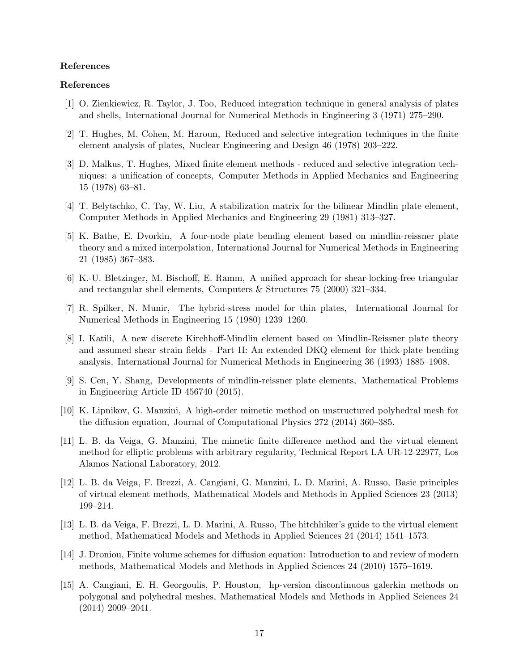#### References

### References

- <span id="page-16-0"></span>[1] O. Zienkiewicz, R. Taylor, J. Too, Reduced integration technique in general analysis of plates and shells, International Journal for Numerical Methods in Engineering 3 (1971) 275–290.
- <span id="page-16-1"></span>[2] T. Hughes, M. Cohen, M. Haroun, Reduced and selective integration techniques in the finite element analysis of plates, Nuclear Engineering and Design 46 (1978) 203–222.
- <span id="page-16-2"></span>[3] D. Malkus, T. Hughes, Mixed finite element methods - reduced and selective integration techniques: a unification of concepts, Computer Methods in Applied Mechanics and Engineering 15 (1978) 63–81.
- <span id="page-16-3"></span>[4] T. Belytschko, C. Tay, W. Liu, A stabilization matrix for the bilinear Mindlin plate element, Computer Methods in Applied Mechanics and Engineering 29 (1981) 313–327.
- <span id="page-16-4"></span>[5] K. Bathe, E. Dvorkin, A four-node plate bending element based on mindlin-reissner plate theory and a mixed interpolation, International Journal for Numerical Methods in Engineering 21 (1985) 367–383.
- <span id="page-16-5"></span>[6] K.-U. Bletzinger, M. Bischoff, E. Ramm, A unified approach for shear-locking-free triangular and rectangular shell elements, Computers & Structures 75 (2000) 321–334.
- <span id="page-16-6"></span>[7] R. Spilker, N. Munir, The hybrid-stress model for thin plates, International Journal for Numerical Methods in Engineering 15 (1980) 1239–1260.
- <span id="page-16-7"></span>[8] I. Katili, A new discrete Kirchhoff-Mindlin element based on Mindlin-Reissner plate theory and assumed shear strain fields - Part II: An extended DKQ element for thick-plate bending analysis, International Journal for Numerical Methods in Engineering 36 (1993) 1885–1908.
- <span id="page-16-8"></span>[9] S. Cen, Y. Shang, Developments of mindlin-reissner plate elements, Mathematical Problems in Engineering Article ID 456740 (2015).
- <span id="page-16-9"></span>[10] K. Lipnikov, G. Manzini, A high-order mimetic method on unstructured polyhedral mesh for the diffusion equation, Journal of Computational Physics 272 (2014) 360–385.
- <span id="page-16-10"></span>[11] L. B. da Veiga, G. Manzini, The mimetic finite difference method and the virtual element method for elliptic problems with arbitrary regularity, Technical Report LA-UR-12-22977, Los Alamos National Laboratory, 2012.
- [12] L. B. da Veiga, F. Brezzi, A. Cangiani, G. Manzini, L. D. Marini, A. Russo, Basic principles of virtual element methods, Mathematical Models and Methods in Applied Sciences 23 (2013) 199–214.
- <span id="page-16-11"></span>[13] L. B. da Veiga, F. Brezzi, L. D. Marini, A. Russo, The hitchhiker's guide to the virtual element method, Mathematical Models and Methods in Applied Sciences 24 (2014) 1541–1573.
- <span id="page-16-12"></span>[14] J. Droniou, Finite volume schemes for diffusion equation: Introduction to and review of modern methods, Mathematical Models and Methods in Applied Sciences 24 (2010) 1575–1619.
- <span id="page-16-13"></span>[15] A. Cangiani, E. H. Georgoulis, P. Houston, hp-version discontinuous galerkin methods on polygonal and polyhedral meshes, Mathematical Models and Methods in Applied Sciences 24 (2014) 2009–2041.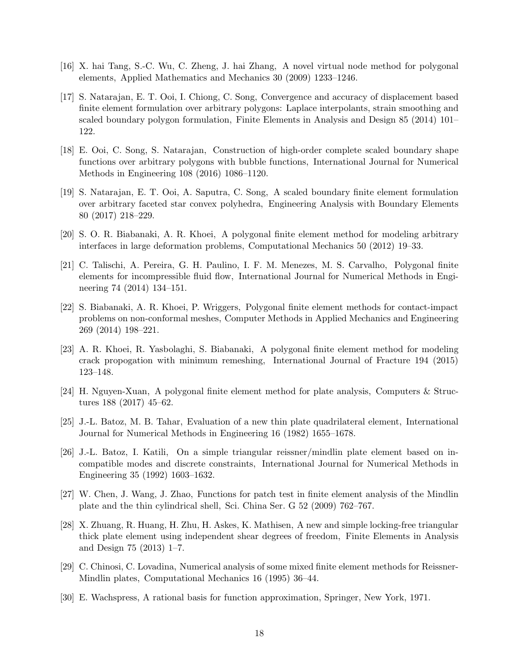- <span id="page-17-0"></span>[16] X. hai Tang, S.-C. Wu, C. Zheng, J. hai Zhang, A novel virtual node method for polygonal elements, Applied Mathematics and Mechanics 30 (2009) 1233–1246.
- <span id="page-17-1"></span>[17] S. Natarajan, E. T. Ooi, I. Chiong, C. Song, Convergence and accuracy of displacement based finite element formulation over arbitrary polygons: Laplace interpolants, strain smoothing and scaled boundary polygon formulation, Finite Elements in Analysis and Design 85 (2014) 101– 122.
- [18] E. Ooi, C. Song, S. Natarajan, Construction of high-order complete scaled boundary shape functions over arbitrary polygons with bubble functions, International Journal for Numerical Methods in Engineering 108 (2016) 1086–1120.
- <span id="page-17-2"></span>[19] S. Natarajan, E. T. Ooi, A. Saputra, C. Song, A scaled boundary finite element formulation over arbitrary faceted star convex polyhedra, Engineering Analysis with Boundary Elements 80 (2017) 218–229.
- <span id="page-17-3"></span>[20] S. O. R. Biabanaki, A. R. Khoei, A polygonal finite element method for modeling arbitrary interfaces in large deformation problems, Computational Mechanics 50 (2012) 19–33.
- <span id="page-17-4"></span>[21] C. Talischi, A. Pereira, G. H. Paulino, I. F. M. Menezes, M. S. Carvalho, Polygonal finite elements for incompressible fluid flow, International Journal for Numerical Methods in Engineering 74 (2014) 134–151.
- <span id="page-17-5"></span>[22] S. Biabanaki, A. R. Khoei, P. Wriggers, Polygonal finite element methods for contact-impact problems on non-conformal meshes, Computer Methods in Applied Mechanics and Engineering 269 (2014) 198–221.
- <span id="page-17-6"></span>[23] A. R. Khoei, R. Yasbolaghi, S. Biabanaki, A polygonal finite element method for modeling crack propogation with minimum remeshing, International Journal of Fracture 194 (2015) 123–148.
- <span id="page-17-7"></span>[24] H. Nguyen-Xuan, A polygonal finite element method for plate analysis, Computers & Structures 188 (2017) 45–62.
- <span id="page-17-8"></span>[25] J.-L. Batoz, M. B. Tahar, Evaluation of a new thin plate quadrilateral element, International Journal for Numerical Methods in Engineering 16 (1982) 1655–1678.
- <span id="page-17-9"></span>[26] J.-L. Batoz, I. Katili, On a simple triangular reissner/mindlin plate element based on incompatible modes and discrete constraints, International Journal for Numerical Methods in Engineering 35 (1992) 1603–1632.
- <span id="page-17-10"></span>[27] W. Chen, J. Wang, J. Zhao, Functions for patch test in finite element analysis of the Mindlin plate and the thin cylindrical shell, Sci. China Ser. G 52 (2009) 762–767.
- <span id="page-17-11"></span>[28] X. Zhuang, R. Huang, H. Zhu, H. Askes, K. Mathisen, A new and simple locking-free triangular thick plate element using independent shear degrees of freedom, Finite Elements in Analysis and Design 75 (2013) 1–7.
- <span id="page-17-12"></span>[29] C. Chinosi, C. Lovadina, Numerical analysis of some mixed finite element methods for Reissner-Mindlin plates, Computational Mechanics 16 (1995) 36–44.
- <span id="page-17-13"></span>[30] E. Wachspress, A rational basis for function approximation, Springer, New York, 1971.